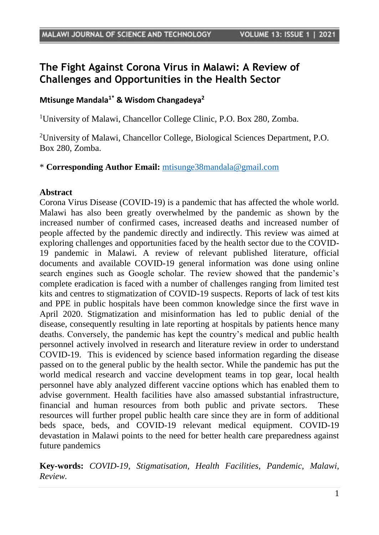# **The Fight Against Corona Virus in Malawi: A Review of Challenges and Opportunities in the Health Sector**

## **Mtisunge Mandala1\* & Wisdom Changadeya<sup>2</sup>**

<sup>1</sup>University of Malawi, Chancellor College Clinic, P.O. Box 280, Zomba.

<sup>2</sup>University of Malawi, Chancellor College, Biological Sciences Department, P.O. Box 280, Zomba.

### \* **Corresponding Author Email:** [mtisunge38mandala@gmail.com](mailto:mtisunge38mandala@gmail.com)

#### **Abstract**

Corona Virus Disease (COVID-19) is a pandemic that has affected the whole world. Malawi has also been greatly overwhelmed by the pandemic as shown by the increased number of confirmed cases, increased deaths and increased number of people affected by the pandemic directly and indirectly. This review was aimed at exploring challenges and opportunities faced by the health sector due to the COVID-19 pandemic in Malawi. A review of relevant published literature, official documents and available COVID-19 general information was done using online search engines such as Google scholar. The review showed that the pandemic's complete eradication is faced with a number of challenges ranging from limited test kits and centres to stigmatization of COVID-19 suspects. Reports of lack of test kits and PPE in public hospitals have been common knowledge since the first wave in April 2020. Stigmatization and misinformation has led to public denial of the disease, consequently resulting in late reporting at hospitals by patients hence many deaths. Conversely, the pandemic has kept the country's medical and public health personnel actively involved in research and literature review in order to understand COVID-19. This is evidenced by science based information regarding the disease passed on to the general public by the health sector. While the pandemic has put the world medical research and vaccine development teams in top gear, local health personnel have ably analyzed different vaccine options which has enabled them to advise government. Health facilities have also amassed substantial infrastructure, financial and human resources from both public and private sectors. These resources will further propel public health care since they are in form of additional beds space, beds, and COVID-19 relevant medical equipment. COVID-19 devastation in Malawi points to the need for better health care preparedness against future pandemics

**Key-words:** *COVID-19, Stigmatisation, Health Facilities, Pandemic, Malawi, Review.*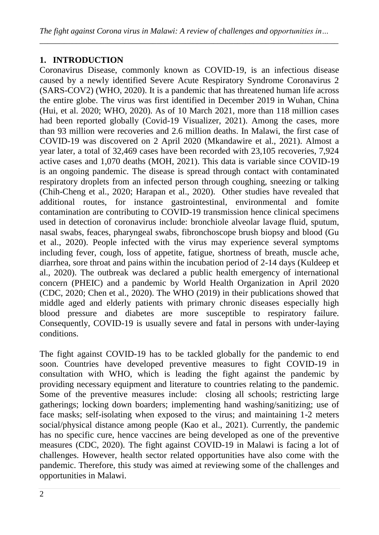# **1. INTRODUCTION**

Coronavirus Disease, commonly known as COVID-19, is an infectious disease caused by a newly identified Severe Acute Respiratory Syndrome Coronavirus 2 (SARS-COV2) (WHO, 2020). It is a pandemic that has threatened human life across the entire globe. The virus was first identified in December 2019 in Wuhan, China (Hui, et al. 2020; WHO, 2020). As of 10 March 2021, more than 118 million cases had been reported globally (Covid-19 Visualizer, 2021). Among the cases, more than 93 million were recoveries and 2.6 million deaths. In Malawi, the first case of COVID-19 was discovered on 2 April 2020 (Mkandawire et al., 2021). Almost a year later, a total of 32,469 cases have been recorded with 23,105 recoveries, 7,924 active cases and 1,070 deaths (MOH, 2021). This data is variable since COVID-19 is an ongoing pandemic. The disease is spread through contact with contaminated respiratory droplets from an infected person through coughing, sneezing or talking (Chih-Cheng et al., 2020; Harapan et al., 2020). Other studies have revealed that additional routes, for instance gastrointestinal, environmental and fomite contamination are contributing to COVID-19 transmission hence clinical specimens used in detection of coronavirus include: bronchiole alveolar lavage fluid, sputum, nasal swabs, feaces, pharyngeal swabs, fibronchoscope brush biopsy and blood (Gu et al., 2020). People infected with the virus may experience several symptoms including fever, cough, loss of appetite, fatigue, shortness of breath, muscle ache, diarrhea, sore throat and pains within the incubation period of 2-14 days (Kuldeep et al., 2020). The outbreak was declared a public health emergency of international concern (PHEIC) and a pandemic by World Health Organization in April 2020 (CDC, 2020; Chen et al., 2020). The WHO (2019) in their publications showed that middle aged and elderly patients with primary chronic diseases especially high blood pressure and diabetes are more susceptible to respiratory failure. Consequently, COVID-19 is usually severe and fatal in persons with under-laying conditions.

The fight against COVID-19 has to be tackled globally for the pandemic to end soon. Countries have developed preventive measures to fight COVID-19 in consultation with WHO, which is leading the fight against the pandemic by providing necessary equipment and literature to countries relating to the pandemic. Some of the preventive measures include: closing all schools; restricting large gatherings; locking down boarders; implementing hand washing/sanitizing; use of face masks; self-isolating when exposed to the virus; and maintaining 1-2 meters social/physical distance among people (Kao et al., 2021). Currently, the pandemic has no specific cure, hence vaccines are being developed as one of the preventive measures (CDC, 2020). The fight against COVID-19 in Malawi is facing a lot of challenges. However, health sector related opportunities have also come with the pandemic. Therefore, this study was aimed at reviewing some of the challenges and opportunities in Malawi.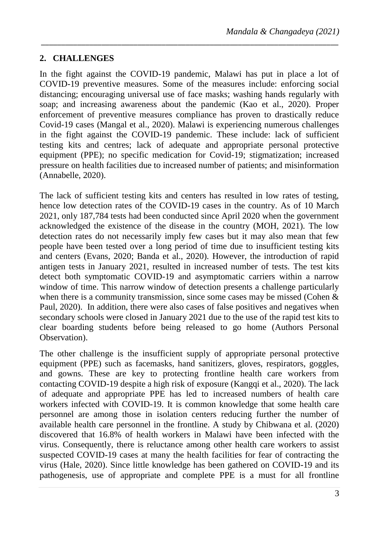# **2. CHALLENGES**

In the fight against the COVID-19 pandemic, Malawi has put in place a lot of COVID-19 preventive measures. Some of the measures include: enforcing social distancing; encouraging universal use of face masks; washing hands regularly with soap; and increasing awareness about the pandemic (Kao et al., 2020). Proper enforcement of preventive measures compliance has proven to drastically reduce Covid-19 cases (Mangal et al., 2020). Malawi is experiencing numerous challenges in the fight against the COVID-19 pandemic. These include: lack of sufficient testing kits and centres; lack of adequate and appropriate personal protective equipment (PPE); no specific medication for Covid-19; stigmatization; increased pressure on health facilities due to increased number of patients; and misinformation (Annabelle, 2020).

*\_\_\_\_\_\_\_\_\_\_\_\_\_\_\_\_\_\_\_\_\_\_\_\_\_\_\_\_\_\_\_\_\_\_\_\_\_\_\_\_\_\_\_\_\_\_\_\_\_\_\_\_\_\_\_\_\_\_\_\_\_\_\_\_\_\_\_\_\_\_\_\_\_\_*

The lack of sufficient testing kits and centers has resulted in low rates of testing, hence low detection rates of the COVID-19 cases in the country. As of 10 March 2021, only 187,784 tests had been conducted since April 2020 when the government acknowledged the existence of the disease in the country (MOH, 2021). The low detection rates do not necessarily imply few cases but it may also mean that few people have been tested over a long period of time due to insufficient testing kits and centers (Evans, 2020; Banda et al., 2020). However, the introduction of rapid antigen tests in January 2021, resulted in increased number of tests. The test kits detect both symptomatic COVID-19 and asymptomatic carriers within a narrow window of time. This narrow window of detection presents a challenge particularly when there is a community transmission, since some cases may be missed (Cohen  $\&$ Paul, 2020). In addition, there were also cases of false positives and negatives when secondary schools were closed in January 2021 due to the use of the rapid test kits to clear boarding students before being released to go home (Authors Personal Observation).

The other challenge is the insufficient supply of appropriate personal protective equipment (PPE) such as facemasks, hand sanitizers, gloves, respirators, goggles, and gowns. These are key to protecting frontline health care workers from contacting COVID-19 despite a high risk of exposure (Kangqi et al., 2020). The lack of adequate and appropriate PPE has led to increased numbers of health care workers infected with COVID-19. It is common knowledge that some health care personnel are among those in isolation centers reducing further the number of available health care personnel in the frontline. A study by Chibwana et al. (2020) discovered that 16.8% of health workers in Malawi have been infected with the virus. Consequently, there is reluctance among other health care workers to assist suspected COVID-19 cases at many the health facilities for fear of contracting the virus (Hale, 2020). Since little knowledge has been gathered on COVID-19 and its pathogenesis, use of appropriate and complete PPE is a must for all frontline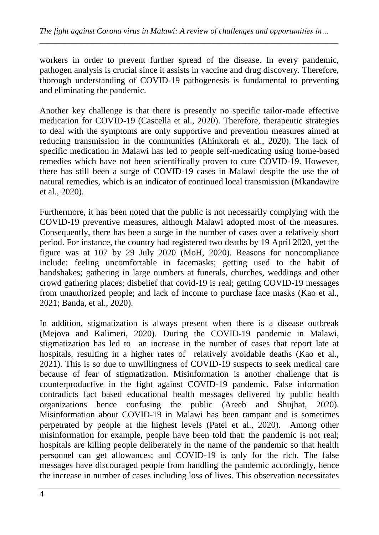*\_\_\_\_\_\_\_\_\_\_\_\_\_\_\_\_\_\_\_\_\_\_\_\_\_\_\_\_\_\_\_\_\_\_\_\_\_\_\_\_\_\_\_\_\_\_\_\_\_\_\_\_\_\_\_\_\_\_\_\_\_\_\_\_\_\_\_\_\_\_\_\_\_\_*

workers in order to prevent further spread of the disease. In every pandemic, pathogen analysis is crucial since it assists in vaccine and drug discovery. Therefore, thorough understanding of COVID-19 pathogenesis is fundamental to preventing and eliminating the pandemic.

Another key challenge is that there is presently no specific tailor-made effective medication for COVID-19 (Cascella et al., 2020). Therefore, therapeutic strategies to deal with the symptoms are only supportive and prevention measures aimed at reducing transmission in the communities (Ahinkorah et al., 2020). The lack of specific medication in Malawi has led to people self-medicating using home-based remedies which have not been scientifically proven to cure COVID-19. However, there has still been a surge of COVID-19 cases in Malawi despite the use the of natural remedies, which is an indicator of continued local transmission (Mkandawire et al., 2020).

Furthermore, it has been noted that the public is not necessarily complying with the COVID-19 preventive measures, although Malawi adopted most of the measures. Consequently, there has been a surge in the number of cases over a relatively short period. For instance, the country had registered two deaths by 19 April 2020, yet the figure was at 107 by 29 July 2020 (MoH, 2020). Reasons for noncompliance include: feeling uncomfortable in facemasks; getting used to the habit of handshakes; gathering in large numbers at funerals, churches, weddings and other crowd gathering places; disbelief that covid-19 is real; getting COVID-19 messages from unauthorized people; and lack of income to purchase face masks (Kao et al., 2021; Banda, et al., 2020).

In addition, stigmatization is always present when there is a disease outbreak (Mejova and Kalimeri, 2020). During the COVID-19 pandemic in Malawi, stigmatization has led to an increase in the number of cases that report late at hospitals, resulting in a higher rates of relatively avoidable deaths (Kao et al., 2021). This is so due to unwillingness of COVID-19 suspects to seek medical care because of fear of stigmatization. Misinformation is another challenge that is counterproductive in the fight against COVID-19 pandemic. False information contradicts fact based educational health messages delivered by public health organizations hence confusing the public (Areeb and Shujhat, 2020). Misinformation about COVID-19 in Malawi has been rampant and is sometimes perpetrated by people at the highest levels (Patel et al., 2020). Among other misinformation for example, people have been told that: the pandemic is not real; hospitals are killing people deliberately in the name of the pandemic so that health personnel can get allowances; and COVID-19 is only for the rich. The false messages have discouraged people from handling the pandemic accordingly, hence the increase in number of cases including loss of lives. This observation necessitates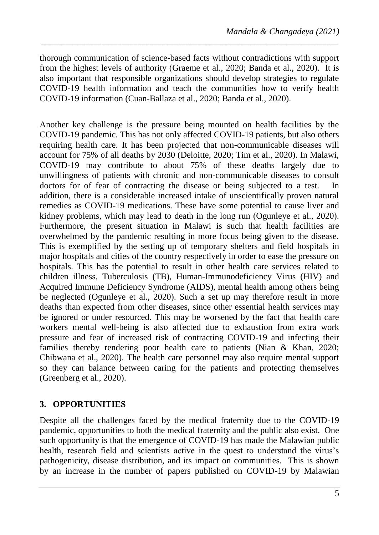thorough communication of science-based facts without contradictions with support from the highest levels of authority (Graeme et al., 2020; Banda et al., 2020). It is also important that responsible organizations should develop strategies to regulate COVID-19 health information and teach the communities how to verify health COVID-19 information (Cuan-Ballaza et al., 2020; Banda et al., 2020).

*\_\_\_\_\_\_\_\_\_\_\_\_\_\_\_\_\_\_\_\_\_\_\_\_\_\_\_\_\_\_\_\_\_\_\_\_\_\_\_\_\_\_\_\_\_\_\_\_\_\_\_\_\_\_\_\_\_\_\_\_\_\_\_\_\_\_\_\_\_\_\_\_\_\_*

Another key challenge is the pressure being mounted on health facilities by the COVID-19 pandemic. This has not only affected COVID-19 patients, but also others requiring health care. It has been projected that non-communicable diseases will account for 75% of all deaths by 2030 (Deloitte, 2020; Tim et al., 2020). In Malawi, COVID-19 may contribute to about 75% of these deaths largely due to unwillingness of patients with chronic and non-communicable diseases to consult doctors for of fear of contracting the disease or being subjected to a test. In addition, there is a considerable increased intake of unscientifically proven natural remedies as COVID-19 medications. These have some potential to cause liver and kidney problems, which may lead to death in the long run (Ogunleye et al., 2020). Furthermore, the present situation in Malawi is such that health facilities are overwhelmed by the pandemic resulting in more focus being given to the disease. This is exemplified by the setting up of temporary shelters and field hospitals in major hospitals and cities of the country respectively in order to ease the pressure on hospitals. This has the potential to result in other health care services related to children illness, Tuberculosis (TB), Human-Immunodeficiency Virus (HIV) and Acquired Immune Deficiency Syndrome (AIDS), mental health among others being be neglected (Ogunleye et al., 2020). Such a set up may therefore result in more deaths than expected from other diseases, since other essential health services may be ignored or under resourced. This may be worsened by the fact that health care workers mental well-being is also affected due to exhaustion from extra work pressure and fear of increased risk of contracting COVID-19 and infecting their families thereby rendering poor health care to patients (Nian & Khan, 2020; Chibwana et al., 2020). The health care personnel may also require mental support so they can balance between caring for the patients and protecting themselves (Greenberg et al., 2020).

## **3. OPPORTUNITIES**

Despite all the challenges faced by the medical fraternity due to the COVID-19 pandemic, opportunities to both the medical fraternity and the public also exist. One such opportunity is that the emergence of COVID-19 has made the Malawian public health, research field and scientists active in the quest to understand the virus's pathogenicity, disease distribution, and its impact on communities. This is shown by an increase in the number of papers published on COVID-19 by Malawian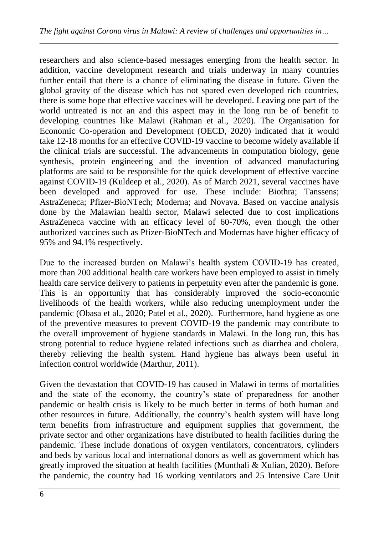researchers and also science-based messages emerging from the health sector. In addition, vaccine development research and trials underway in many countries further entail that there is a chance of eliminating the disease in future. Given the global gravity of the disease which has not spared even developed rich countries, there is some hope that effective vaccines will be developed. Leaving one part of the world untreated is not an and this aspect may in the long run be of benefit to developing countries like Malawi (Rahman et al., 2020). The Organisation for Economic Co-operation and Development (OECD, 2020) indicated that it would take 12-18 months for an effective COVID-19 vaccine to become widely available if the clinical trials are successful. The advancements in computation biology, gene synthesis, protein engineering and the invention of advanced manufacturing platforms are said to be responsible for the quick development of effective vaccine against COVID-19 (Kuldeep et al., 2020). As of March 2021, several vaccines have been developed and approved for use. These include: Biothra; Tanssens; AstraZeneca; Pfizer-BioNTech; Moderna; and Novava. Based on vaccine analysis done by the Malawian health sector, Malawi selected due to cost implications AstraZeneca vaccine with an efficacy level of 60-70%, even though the other authorized vaccines such as Pfizer-BioNTech and Modernas have higher efficacy of 95% and 94.1% respectively.

Due to the increased burden on Malawi's health system COVID-19 has created, more than 200 additional health care workers have been employed to assist in timely health care service delivery to patients in perpetuity even after the pandemic is gone. This is an opportunity that has considerably improved the socio-economic livelihoods of the health workers, while also reducing unemployment under the pandemic (Obasa et al., 2020; Patel et al., 2020). Furthermore, hand hygiene as one of the preventive measures to prevent COVID-19 the pandemic may contribute to the overall improvement of hygiene standards in Malawi. In the long run, this has strong potential to reduce hygiene related infections such as diarrhea and cholera, thereby relieving the health system. Hand hygiene has always been useful in infection control worldwide (Marthur, 2011).

Given the devastation that COVID-19 has caused in Malawi in terms of mortalities and the state of the economy, the country's state of preparedness for another pandemic or health crisis is likely to be much better in terms of both human and other resources in future. Additionally, the country's health system will have long term benefits from infrastructure and equipment supplies that government, the private sector and other organizations have distributed to health facilities during the pandemic. These include donations of oxygen ventilators, concentrators, cylinders and beds by various local and international donors as well as government which has greatly improved the situation at health facilities (Munthali & Xulian, 2020). Before the pandemic, the country had 16 working ventilators and 25 Intensive Care Unit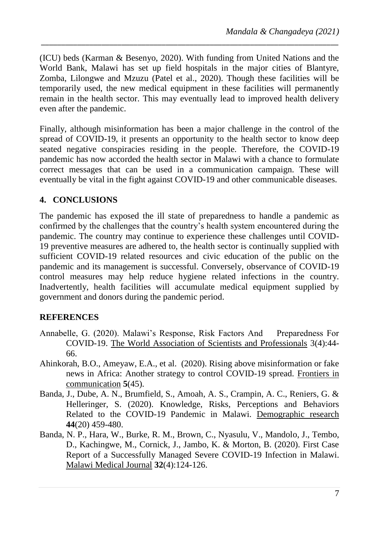(ICU) beds (Karman & Besenyo, 2020). With funding from United Nations and the World Bank, Malawi has set up field hospitals in the major cities of Blantyre, Zomba, Lilongwe and Mzuzu (Patel et al., 2020). Though these facilities will be temporarily used, the new medical equipment in these facilities will permanently remain in the health sector. This may eventually lead to improved health delivery even after the pandemic.

*\_\_\_\_\_\_\_\_\_\_\_\_\_\_\_\_\_\_\_\_\_\_\_\_\_\_\_\_\_\_\_\_\_\_\_\_\_\_\_\_\_\_\_\_\_\_\_\_\_\_\_\_\_\_\_\_\_\_\_\_\_\_\_\_\_\_\_\_\_\_\_\_\_\_*

Finally, although misinformation has been a major challenge in the control of the spread of COVID-19, it presents an opportunity to the health sector to know deep seated negative conspiracies residing in the people. Therefore, the COVID-19 pandemic has now accorded the health sector in Malawi with a chance to formulate correct messages that can be used in a communication campaign. These will eventually be vital in the fight against COVID-19 and other communicable diseases.

### **4. CONCLUSIONS**

The pandemic has exposed the ill state of preparedness to handle a pandemic as confirmed by the challenges that the country's health system encountered during the pandemic. The country may continue to experience these challenges until COVID-19 preventive measures are adhered to, the health sector is continually supplied with sufficient COVID-19 related resources and civic education of the public on the pandemic and its management is successful. Conversely, observance of COVID-19 control measures may help reduce hygiene related infections in the country. Inadvertently, health facilities will accumulate medical equipment supplied by government and donors during the pandemic period.

### **REFERENCES**

- Annabelle, G. (2020). Malawi's Response, Risk Factors And Preparedness For COVID-19. The World Association of Scientists and Professionals 3(4):44- 66.
- Ahinkorah, B.O., Ameyaw, E.A., et al. (2020). Rising above misinformation or fake news in Africa: Another strategy to control COVID-19 spread. Frontiers in communication **5**(45).
- Banda, J., Dube, A. N., Brumfield, S., Amoah, A. S., Crampin, A. C., Reniers, G. & Helleringer, S. (2020). Knowledge, Risks, Perceptions and Behaviors Related to the COVID-19 Pandemic in Malawi. Demographic research **44**(20) 459-480.
- Banda, N. P., Hara, W., Burke, R. M., Brown, C., Nyasulu, V., Mandolo, J., Tembo, D., Kachingwe, M., Cornick, J., Jambo, K. & Morton, B. (2020). First Case Report of a Successfully Managed Severe COVID-19 Infection in Malawi. Malawi Medical Journal **32**(4):124-126.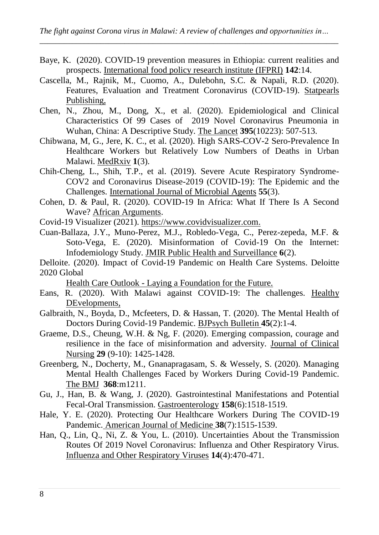- Baye, K. (2020). COVID-19 prevention measures in Ethiopia: current realities and prospects. International food policy research institute (IFPRI) **142**:14.
- Cascella, M., Rajnik, M., Cuomo, A., Dulebohn, S.C. & Napali, R.D. (2020). Features, Evaluation and Treatment Coronavirus (COVID-19). Statpearls Publishing,
- Chen, N., Zhou, M., Dong, X., et al. (2020). Epidemiological and Clinical Characteristics Of 99 Cases of 2019 Novel Coronavirus Pneumonia in Wuhan, China: A Descriptive Study. The Lancet **395**(10223): 507-513.
- Chibwana, M, G., Jere, K. C., et al. (2020). High SARS-COV-2 Sero-Prevalence In Healthcare Workers but Relatively Low Numbers of Deaths in Urban Malawi. MedRxiv **1**(3).
- Chih-Cheng, L., Shih, T.P., et al. (2019). Severe Acute Respiratory Syndrome-COV2 and Coronavirus Disease-2019 (COVID-19): The Epidemic and the Challenges. International Journal of Microbial Agents **55**(3).
- Cohen, D. & Paul, R. (2020). COVID-19 In Africa: What If There Is A Second Wave? African Arguments.
- Covid-19 Visualizer (2021). [https://www.covidvisualizer.com.](https://www.covidvisualizer.com/)
- Cuan-Ballaza, J.Y., Muno-Perez, M.J., Robledo-Vega, C., Perez-zepeda, M.F. & Soto-Vega, E. (2020). Misinformation of Covid-19 On the Internet: Infodemiology Study. JMIR Public Health and Surveillance **6**(2).
- Delloite. (2020). Impact of Covid-19 Pandemic on Health Care Systems. Deloitte 2020 Global

Health Care Outlook - Laying a Foundation for the Future.

- Eans, R. (2020). With Malawi against COVID-19: The challenges. Healthy DEvelopments,
- Galbraith, N., Boyda, D., Mcfeeters, D. & Hassan, T. (2020). The Mental Health of Doctors During Covid-19 Pandemic. BJPsych Bulletin **45**(2):1-4.
- Graeme, D.S., Cheung, W.H. & Ng, F. (2020). Emerging compassion, courage and resilience in the face of misinformation and adversity. Journal of Clinical Nursing **29** (9-10): 1425-1428.
- Greenberg, N., Docherty, M., Gnanapragasam, S. & Wessely, S. (2020). Managing Mental Health Challenges Faced by Workers During Covid-19 Pandemic. The BMJ **368**:m1211.
- Gu, J., Han, B. & Wang, J. (2020). Gastrointestinal Manifestations and Potential Fecal-Oral Transmission. Gastroenterology **158**(6):1518-1519.
- Hale, Y. E. (2020). Protecting Our Healthcare Workers During The COVID-19 Pandemic. American Journal of Medicine **38**(7):1515-1539.
- Han, Q., Lin, Q., Ni, Z. & You, L. (2010). Uncertainties About the Transmission Routes Of 2019 Novel Coronavirus: Influenza and Other Respiratory Virus. Influenza and Other Respiratory Viruses **14**(4):470-471.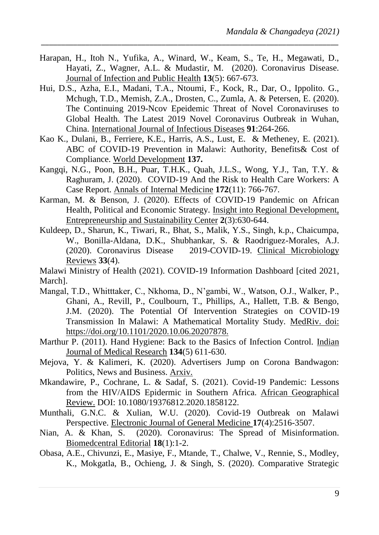Harapan, H., Itoh N., Yufika, A., Winard, W., Keam, S., Te, H., Megawati, D., Hayati, Z., Wagner, A.L. & Mudastir, M. (2020). Coronavirus Disease. Journal of Infection and Public Health **13**(5): 667-673.

*\_\_\_\_\_\_\_\_\_\_\_\_\_\_\_\_\_\_\_\_\_\_\_\_\_\_\_\_\_\_\_\_\_\_\_\_\_\_\_\_\_\_\_\_\_\_\_\_\_\_\_\_\_\_\_\_\_\_\_\_\_\_\_\_\_\_\_\_\_\_\_\_\_\_*

- Hui, D.S., Azha, E.I., Madani, T.A., Ntoumi, F., Kock, R., Dar, O., Ippolito. G., Mchugh, T.D., Memish, Z.A., Drosten, C., Zumla, A. & Petersen, E. (2020). The Continuing 2019-Ncov Epeidemic Threat of Novel Coronaviruses to Global Health. The Latest 2019 Novel Coronavirus Outbreak in Wuhan, China. International Journal of Infectious Diseases **91**:264-266.
- Kao K., Dulani, B., Ferriere, K.E., Harris, A.S., Lust, E. & Metheney, E. (2021). ABC of COVID-19 Prevention in Malawi: Authority, Benefits& Cost of Compliance. World Development **137.**
- Kangqi, N.G., Poon, B.H., Puar, T.H.K., Quah, J.L.S., Wong, Y.J., Tan, T.Y. & Raghuram, J. (2020). COVID-19 And the Risk to Health Care Workers: A Case Report. Annals of Internal Medicine **172**(11): 766-767.
- Karman, M. & Benson, J. (2020). Effects of COVID-19 Pandemic on African Health, Political and Economic Strategy. Insight into Regional Development, Entrepreneurship and Sustainability Center **2**(3):630-644.
- Kuldeep, D., Sharun, K., Tiwari, R., Bhat, S., Malik, Y.S., Singh, k.p., Chaicumpa, W., Bonilla-Aldana, D.K., Shubhankar, S. & Raodriguez-Morales, A.J. (2020). Coronavirus Disease 2019-COVID-19. Clinical Microbiology Reviews **33**(4).

Malawi Ministry of Health (2021). COVID-19 Information Dashboard [cited 2021, March].

- Mangal, T.D., Whitttaker, C., Nkhoma, D., N'gambi, W., Watson, O.J., Walker, P., Ghani, A., Revill, P., Coulbourn, T., Phillips, A., Hallett, T.B. & Bengo, J.M. (2020). The Potential Of Intervention Strategies on COVID-19 Transmission In Malawi: A Mathematical Mortality Study. MedRiv. doi: https://doi.org/10.1101/2020.10.06.20207878.
- Marthur P. (2011). Hand Hygiene: Back to the Basics of Infection Control. Indian Journal of Medical Research **134**(5) 611-630.
- Mejova, Y. & Kalimeri, K. (2020). Advertisers Jump on Corona Bandwagon: Politics, News and Business. Arxiv.
- Mkandawire, P., Cochrane, L. & Sadaf, S. (2021). Covid-19 Pandemic: Lessons from the HIV/AIDS Epidermic in Southern Africa. African Geographical Review. DOI: 10.1080/19376812.2020.1858122.
- Munthali, G.N.C. & Xulian, W.U. (2020). Covid-19 Outbreak on Malawi Perspective. Electronic Journal of General Medicine **17**(4):2516-3507.
- Nian, A. & Khan, S. (2020). Coronavirus: The Spread of Misinformation. Biomedcentral Editorial **18**(1):1-2.
- Obasa, A.E., Chivunzi, E., Masiye, F., Mtande, T., Chalwe, V., Rennie, S., Modley, K., Mokgatla, B., Ochieng, J. & Singh, S. (2020). Comparative Strategic